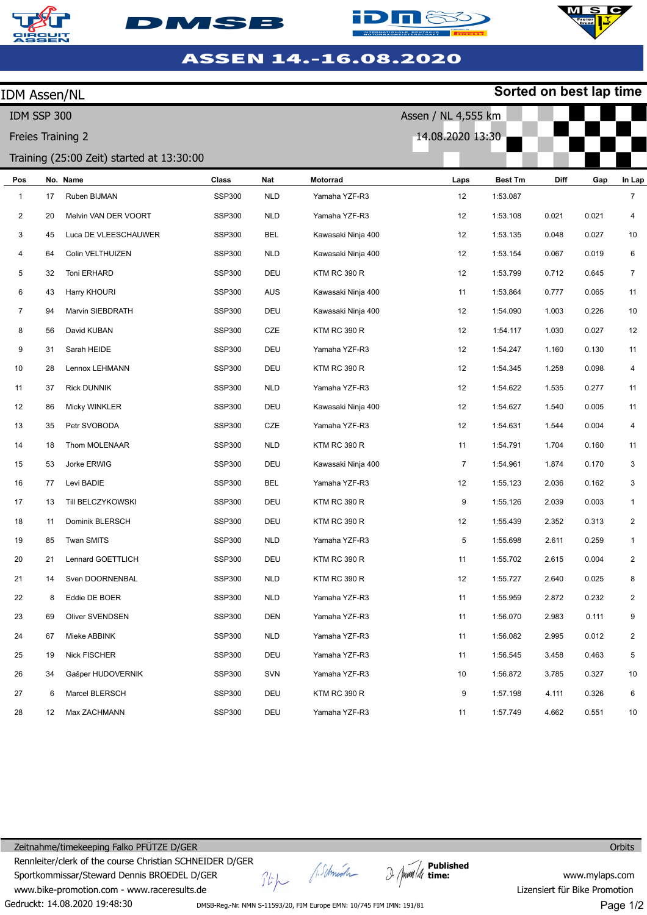





**Sorted on best lap time**



| <b>IDM Assen/NL</b> |    |                                           |               |            |                     |                     |                | Sorted on best lap time |       |                |
|---------------------|----|-------------------------------------------|---------------|------------|---------------------|---------------------|----------------|-------------------------|-------|----------------|
| IDM SSP 300         |    |                                           |               |            |                     | Assen / NL 4,555 km |                |                         |       |                |
| Freies Training 2   |    |                                           |               |            | 14.08.2020 13:30    |                     |                |                         |       |                |
|                     |    | Training (25:00 Zeit) started at 13:30:00 |               |            |                     |                     |                |                         |       |                |
| Pos                 |    | No. Name                                  | <b>Class</b>  | Nat        | Motorrad            | Laps                | <b>Best Tm</b> | Diff                    | Gap   | In Lap         |
| $\mathbf{1}$        | 17 | Ruben BIJMAN                              | <b>SSP300</b> | <b>NLD</b> | Yamaha YZF-R3       | 12                  | 1:53.087       |                         |       | $\overline{7}$ |
| $\overline{2}$      | 20 | Melvin VAN DER VOORT                      | <b>SSP300</b> | <b>NLD</b> | Yamaha YZF-R3       | 12                  | 1:53.108       | 0.021                   | 0.021 | 4              |
| $\mathbf{3}$        | 45 | Luca DE VLEESCHAUWER                      | <b>SSP300</b> | <b>BEL</b> | Kawasaki Ninja 400  | 12                  | 1:53.135       | 0.048                   | 0.027 | 10             |
| 4                   | 64 | Colin VELTHUIZEN                          | <b>SSP300</b> | <b>NLD</b> | Kawasaki Ninja 400  | 12                  | 1:53.154       | 0.067                   | 0.019 | 6              |
| 5                   | 32 | Toni ERHARD                               | <b>SSP300</b> | DEU        | KTM RC 390 R        | 12                  | 1:53.799       | 0.712                   | 0.645 | $\overline{7}$ |
| 6                   | 43 | Harry KHOURI                              | <b>SSP300</b> | AUS        | Kawasaki Ninja 400  | 11                  | 1:53.864       | 0.777                   | 0.065 | 11             |
| $\overline{7}$      | 94 | Marvin SIEBDRATH                          | <b>SSP300</b> | DEU        | Kawasaki Ninja 400  | 12                  | 1:54.090       | 1.003                   | 0.226 | 10             |
| 8                   | 56 | David KUBAN                               | <b>SSP300</b> | CZE        | <b>KTM RC 390 R</b> | 12                  | 1:54.117       | 1.030                   | 0.027 | 12             |
| 9                   | 31 | Sarah HEIDE                               | <b>SSP300</b> | DEU        | Yamaha YZF-R3       | 12                  | 1:54.247       | 1.160                   | 0.130 | 11             |
| 10                  | 28 | Lennox LEHMANN                            | <b>SSP300</b> | DEU        | <b>KTM RC 390 R</b> | 12                  | 1:54.345       | 1.258                   | 0.098 | 4              |
| 11                  | 37 | <b>Rick DUNNIK</b>                        | <b>SSP300</b> | <b>NLD</b> | Yamaha YZF-R3       | 12                  | 1:54.622       | 1.535                   | 0.277 | 11             |
| 12                  | 86 | Micky WINKLER                             | <b>SSP300</b> | DEU        | Kawasaki Ninja 400  | 12                  | 1:54.627       | 1.540                   | 0.005 | 11             |
| 13                  | 35 | Petr SVOBODA                              | <b>SSP300</b> | CZE        | Yamaha YZF-R3       | 12                  | 1:54.631       | 1.544                   | 0.004 | 4              |
| 14                  | 18 | Thom MOLENAAR                             | <b>SSP300</b> | <b>NLD</b> | <b>KTM RC 390 R</b> | 11                  | 1:54.791       | 1.704                   | 0.160 | 11             |
| 15                  | 53 | Jorke ERWIG                               | <b>SSP300</b> | DEU        | Kawasaki Ninja 400  | 7                   | 1:54.961       | 1.874                   | 0.170 | 3              |
| 16                  | 77 | Levi BADIE                                | <b>SSP300</b> | BEL        | Yamaha YZF-R3       | 12                  | 1:55.123       | 2.036                   | 0.162 | 3              |
| 17                  | 13 | Till BELCZYKOWSKI                         | <b>SSP300</b> | DEU        | KTM RC 390 R        | 9                   | 1:55.126       | 2.039                   | 0.003 | $\mathbf{1}$   |
| 18                  | 11 | Dominik BLERSCH                           | <b>SSP300</b> | DEU        | <b>KTM RC 390 R</b> | 12                  | 1:55.439       | 2.352                   | 0.313 | $\overline{2}$ |
| 19                  | 85 | Twan SMITS                                | <b>SSP300</b> | <b>NLD</b> | Yamaha YZF-R3       | 5                   | 1:55.698       | 2.611                   | 0.259 | $\mathbf{1}$   |
| 20                  | 21 | Lennard GOETTLICH                         | <b>SSP300</b> | DEU        | <b>KTM RC 390 R</b> | 11                  | 1:55.702       | 2.615                   | 0.004 | $\overline{2}$ |
| 21                  | 14 | Sven DOORNENBAL                           | <b>SSP300</b> | <b>NLD</b> | KTM RC 390 R        | 12                  | 1:55.727       | 2.640                   | 0.025 | 8              |
| 22                  | 8  | Eddie DE BOER                             | <b>SSP300</b> | <b>NLD</b> | Yamaha YZF-R3       | 11                  | 1:55.959       | 2.872                   | 0.232 | $\overline{2}$ |
| 23                  | 69 | Oliver SVENDSEN                           | <b>SSP300</b> | DEN        | Yamaha YZF-R3       | 11                  | 1:56.070       | 2.983                   | 0.111 | 9              |
| 24                  | 67 | Mieke ABBINK                              | <b>SSP300</b> | <b>NLD</b> | Yamaha YZF-R3       | 11                  | 1:56.082       | 2.995                   | 0.012 | $\overline{2}$ |
| 25                  | 19 | Nick FISCHER                              | <b>SSP300</b> | DEU        | Yamaha YZF-R3       | 11                  | 1:56.545       | 3.458                   | 0.463 | 5              |
| 26                  | 34 | Gašper HUDOVERNIK                         | <b>SSP300</b> | SVN        | Yamaha YZF-R3       | 10                  | 1:56.872       | 3.785                   | 0.327 | 10             |
| 27                  | 6  | Marcel BLERSCH                            | <b>SSP300</b> | DEU        | KTM RC 390 R        | 9                   | 1:57.198       | 4.111                   | 0.326 | 6              |
| 28                  | 12 | Max ZACHMANN                              | <b>SSP300</b> | DEU        | Yamaha YZF-R3       | 11                  | 1:57.749       | 4.662                   | 0.551 | 10             |

Gedruckt: 14.08.2020 19:48:30 Zeitnahme/timekeeping Falko PFÜTZE D/GER Rennleiter/clerk of the course Christian SCHNEIDER D/GER Sportkommissar/Steward Dennis BROEDEL D/GER www.bike-promotion.com - www.raceresults.de

A.Schmich  $\hat{J}^{\prime}\hat{F}^{\prime}$ 

**Published time:**

**Orbits** 

www.mylaps.com Lizensiert für Bike Promotion

DMSB-Reg.-Nr. NMN S-11593/20, FIM Europe EMN: 10/745 FIM IMN: 191/81

Page 1/2